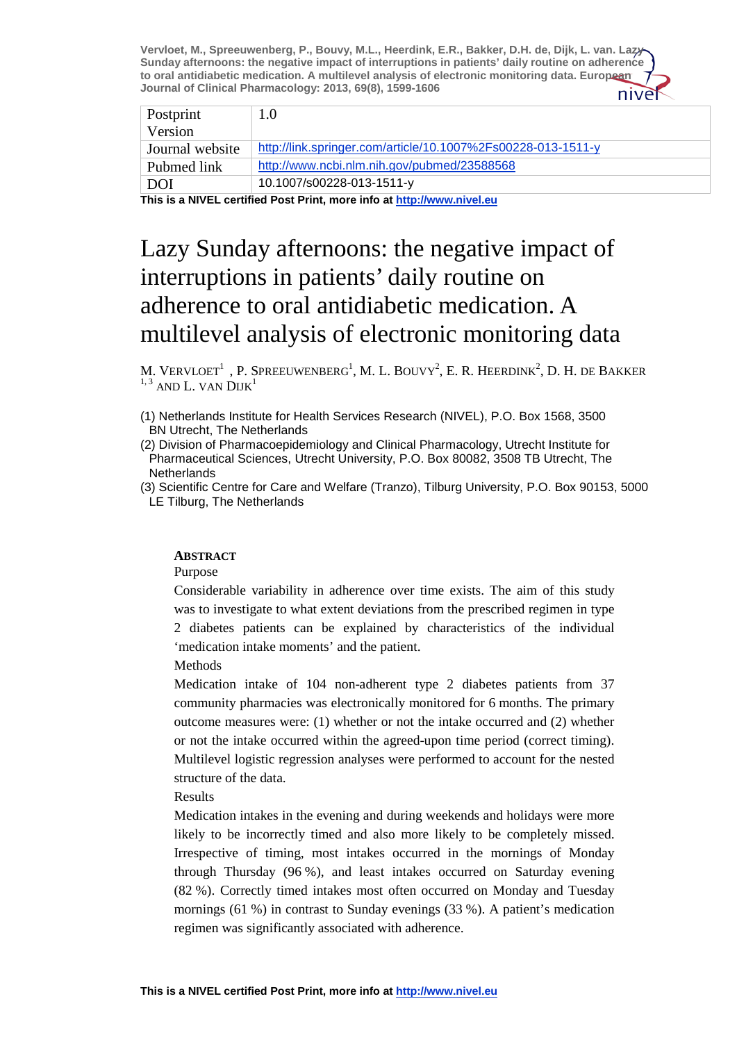| Postprint       | 1.0                                                          |
|-----------------|--------------------------------------------------------------|
| Version         |                                                              |
| Journal website | http://link.springer.com/article/10.1007%2Fs00228-013-1511-y |
| Pubmed link     | http://www.ncbi.nlm.nih.gov/pubmed/23588568                  |
| <b>DOI</b>      | 10.1007/s00228-013-1511-y                                    |
|                 |                                                              |

**This is a NIVEL certified Post Print, more info at [http://www.nivel.eu](http://www.nivel.eu/)** 

# Lazy Sunday afternoons: the negative impact of interruptions in patients' daily routine on adherence to oral antidiabetic medication. A multilevel analysis of electronic monitoring data

M. VERVLOET $^{\rm l}$  , P. Spreeuwenberg $^{\rm l}$ , M. L. Bouvy $^{\rm 2}$ , E. R. Heerdink $^{\rm 2}$ , D. H. de Bakker  $^{1,3}$  AND L. VAN DIJK<sup>1</sup>

(1) Netherlands Institute for Health Services Research (NIVEL), P.O. Box 1568, 3500 BN Utrecht, The Netherlands

(2) Division of Pharmacoepidemiology and Clinical Pharmacology, Utrecht Institute for Pharmaceutical Sciences, Utrecht University, P.O. Box 80082, 3508 TB Utrecht, The **Netherlands** 

(3) Scientific Centre for Care and Welfare (Tranzo), Tilburg University, P.O. Box 90153, 5000 LE Tilburg, The Netherlands

#### **ABSTRACT**

Purpose

Considerable variability in adherence over time exists. The aim of this study was to investigate to what extent deviations from the prescribed regimen in type 2 diabetes patients can be explained by characteristics of the individual 'medication intake moments' and the patient.

Methods

Medication intake of 104 non-adherent type 2 diabetes patients from 37 community pharmacies was electronically monitored for 6 months. The primary outcome measures were: (1) whether or not the intake occurred and (2) whether or not the intake occurred within the agreed-upon time period (correct timing). Multilevel logistic regression analyses were performed to account for the nested structure of the data.

Results

Medication intakes in the evening and during weekends and holidays were more likely to be incorrectly timed and also more likely to be completely missed. Irrespective of timing, most intakes occurred in the mornings of Monday through Thursday (96 %), and least intakes occurred on Saturday evening (82 %). Correctly timed intakes most often occurred on Monday and Tuesday mornings (61 %) in contrast to Sunday evenings (33 %). A patient's medication regimen was significantly associated with adherence.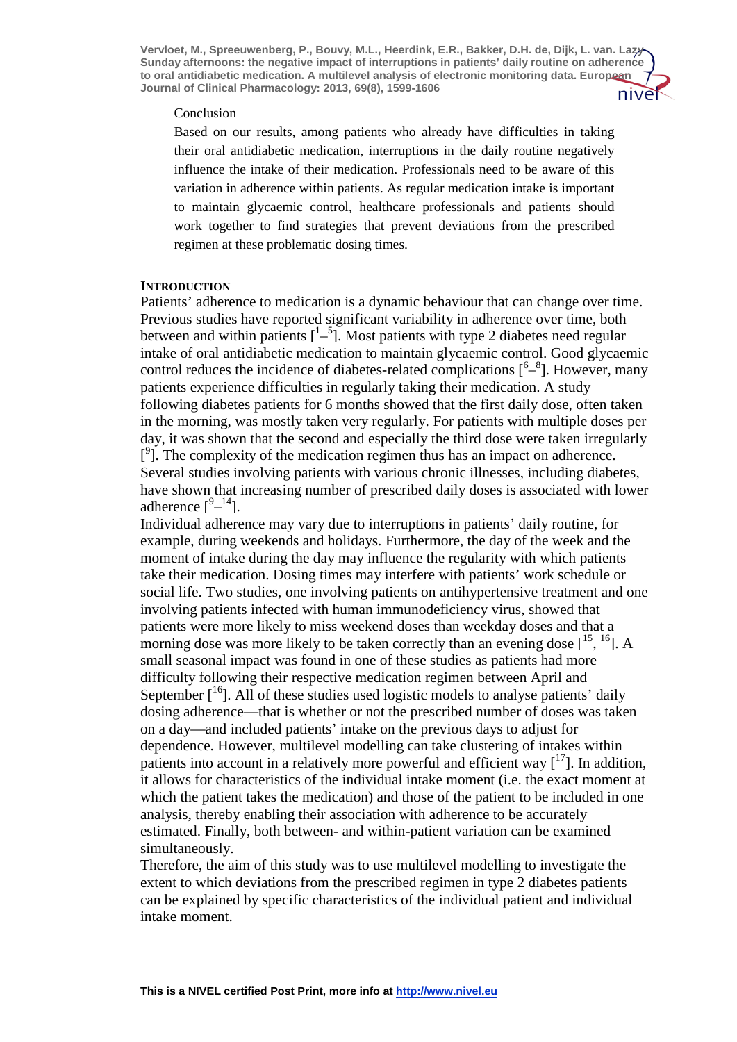#### Conclusion

Based on our results, among patients who already have difficulties in taking their oral antidiabetic medication, interruptions in the daily routine negatively influence the intake of their medication. Professionals need to be aware of this variation in adherence within patients. As regular medication intake is important to maintain glycaemic control, healthcare professionals and patients should work together to find strategies that prevent deviations from the prescribed regimen at these problematic dosing times.

#### **INTRODUCTION**

Patients' adherence to medication is a dynamic behaviour that can change over time. Previous studies have reported significant variability in adherence over time, both between and within patients  $\left[1\right]$ <sup>-5</sup>. Most patients with type 2 diabetes need regular intake of oral antidiabetic medication to maintain glycaemic control. Good glycaemic control reduces the incidence of diabetes-related complications  $\binom{6-8}{ }$ . However, many patients experience difficulties in regularly taking their medication. A study following diabetes patients for 6 months showed that the first daily dose, often taken in the morning, was mostly taken very regularly. For patients with multiple doses per day, it was shown that the second and especially the third dose were taken irregularly  $[$ <sup>9</sup>]. The complexity of the medication regimen thus has an impact on adherence. Several studies involving patients with various chronic illnesses, including diabetes, have shown that increasing number of prescribed daily doses is associated with lower adherence  $[$ <sup>9 $-$ 14</sup>].

Individual adherence may vary due to interruptions in patients' daily routine, for example, during weekends and holidays. Furthermore, the day of the week and the moment of intake during the day may influence the regularity with which patients take their medication. Dosing times may interfere with patients' work schedule or social life. Two studies, one involving patients on antihypertensive treatment and one involving patients infected with human immunodeficiency virus, showed that patients were more likely to miss weekend doses than weekday doses and that a morning dose was more likely to be taken correctly than an evening dose  $\int_0^{15}$ ,  $\frac{16}{1}$ . A small seasonal impact was found in one of these studies as patients had more difficulty following their respective medication regimen between April and September  $[16]$ . All of these studies used logistic models to analyse patients' daily dosing adherence—that is whether or not the prescribed number of doses was taken on a day—and included patients' intake on the previous days to adjust for dependence. However, multilevel modelling can take clustering of intakes within patients into account in a relatively more powerful and efficient way  $\lfloor$ <sup>17</sup>. In addition, it allows for characteristics of the individual intake moment (i.e. the exact moment at which the patient takes the medication) and those of the patient to be included in one analysis, thereby enabling their association with adherence to be accurately estimated. Finally, both between- and within-patient variation can be examined simultaneously.

Therefore, the aim of this study was to use multilevel modelling to investigate the extent to which deviations from the prescribed regimen in type 2 diabetes patients can be explained by specific characteristics of the individual patient and individual intake moment.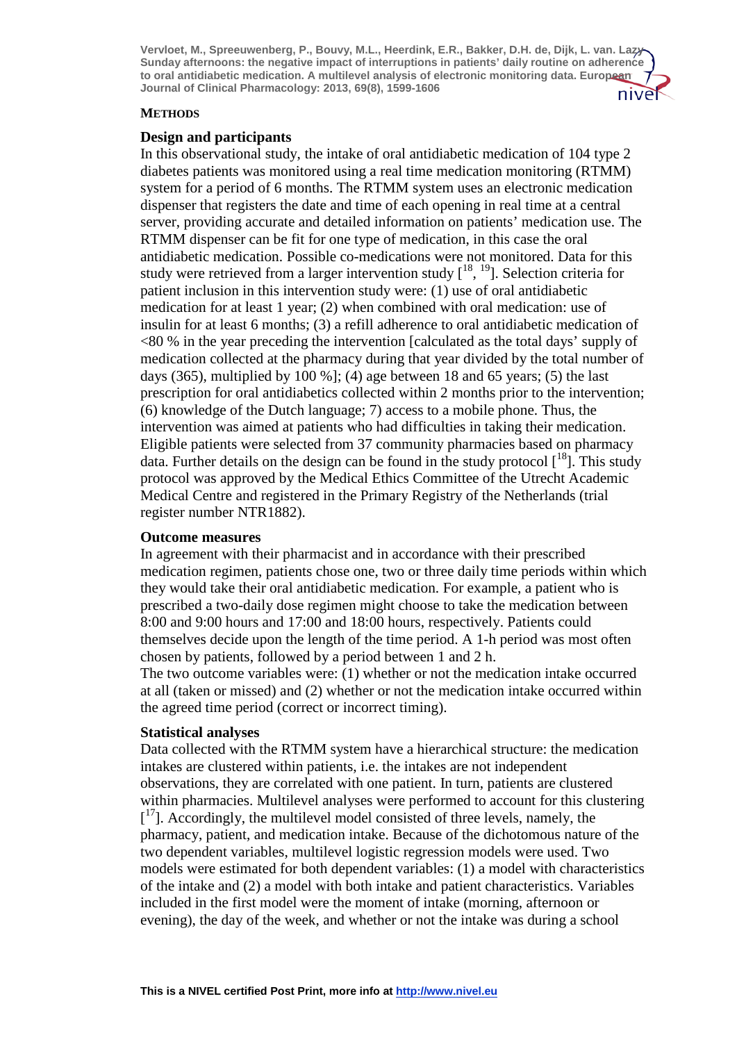### **METHODS**

## **Design and participants**

In this observational study, the intake of oral antidiabetic medication of 104 type 2 diabetes patients was monitored using a real time medication monitoring (RTMM) system for a period of 6 months. The RTMM system uses an electronic medication dispenser that registers the date and time of each opening in real time at a central server, providing accurate and detailed information on patients' medication use. The RTMM dispenser can be fit for one type of medication, in this case the oral antidiabetic medication. Possible co-medications were not monitored. Data for this study were retrieved from a larger intervention study  $[18, 19]$ . Selection criteria for patient inclusion in this intervention study were: (1) use of oral antidiabetic medication for at least 1 year; (2) when combined with oral medication: use of insulin for at least 6 months; (3) a refill adherence to oral antidiabetic medication of <80 % in the year preceding the intervention [calculated as the total days' supply of medication collected at the pharmacy during that year divided by the total number of days (365), multiplied by 100 %]; (4) age between 18 and 65 years; (5) the last prescription for oral antidiabetics collected within 2 months prior to the intervention; (6) knowledge of the Dutch language; 7) access to a mobile phone. Thus, the intervention was aimed at patients who had difficulties in taking their medication. Eligible patients were selected from 37 community pharmacies based on pharmacy data. Further details on the design can be found in the study protocol  $[18]$ . This study protocol was approved by the Medical Ethics Committee of the Utrecht Academic Medical Centre and registered in the Primary Registry of the Netherlands (trial register number NTR1882).

### **Outcome measures**

In agreement with their pharmacist and in accordance with their prescribed medication regimen, patients chose one, two or three daily time periods within which they would take their oral antidiabetic medication. For example, a patient who is prescribed a two-daily dose regimen might choose to take the medication between 8:00 and 9:00 hours and 17:00 and 18:00 hours, respectively. Patients could themselves decide upon the length of the time period. A 1-h period was most often chosen by patients, followed by a period between 1 and 2 h.

The two outcome variables were: (1) whether or not the medication intake occurred at all (taken or missed) and (2) whether or not the medication intake occurred within the agreed time period (correct or incorrect timing).

### **Statistical analyses**

Data collected with the RTMM system have a hierarchical structure: the medication intakes are clustered within patients, i.e. the intakes are not independent observations, they are correlated with one patient. In turn, patients are clustered within pharmacies. Multilevel analyses were performed to account for this clustering  $\left[ \begin{matrix} 1^7 \end{matrix} \right]$ . Accordingly, the multilevel model consisted of three levels, namely, the pharmacy, patient, and medication intake. Because of the dichotomous nature of the two dependent variables, multilevel logistic regression models were used. Two models were estimated for both dependent variables: (1) a model with characteristics of the intake and (2) a model with both intake and patient characteristics. Variables included in the first model were the moment of intake (morning, afternoon or evening), the day of the week, and whether or not the intake was during a school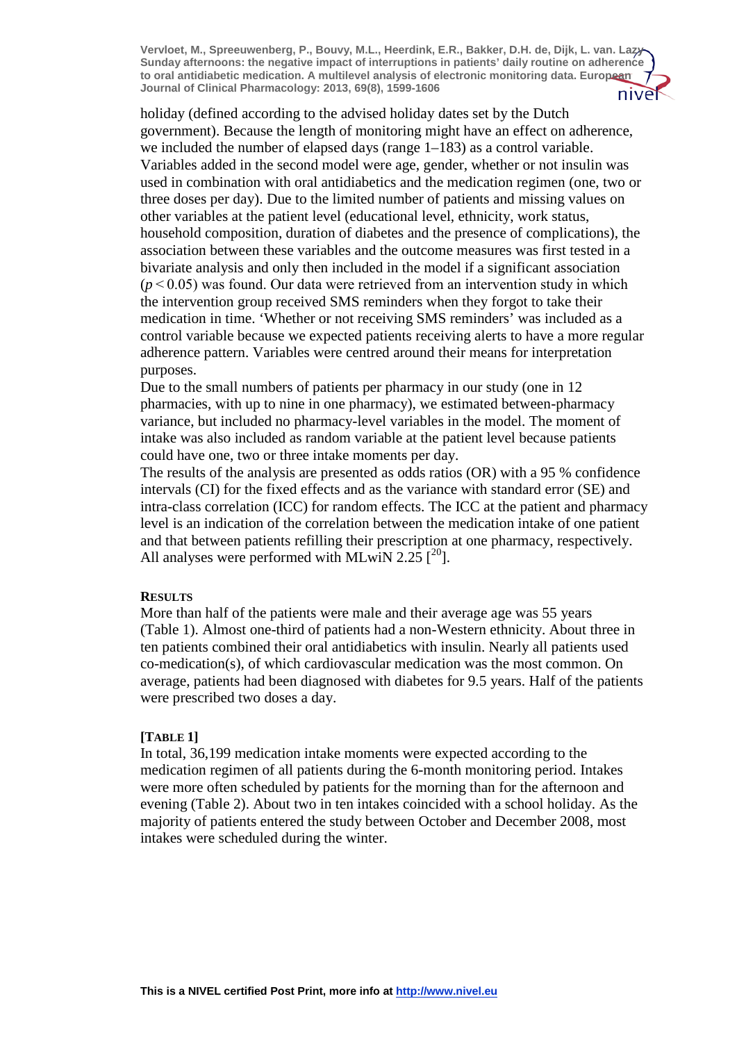holiday (defined according to the advised holiday dates set by the Dutch government). Because the length of monitoring might have an effect on adherence, we included the number of elapsed days (range 1–183) as a control variable. Variables added in the second model were age, gender, whether or not insulin was used in combination with oral antidiabetics and the medication regimen (one, two or three doses per day). Due to the limited number of patients and missing values on other variables at the patient level (educational level, ethnicity, work status, household composition, duration of diabetes and the presence of complications), the association between these variables and the outcome measures was first tested in a bivariate analysis and only then included in the model if a significant association  $(p<0.05)$  was found. Our data were retrieved from an intervention study in which the intervention group received SMS reminders when they forgot to take their medication in time. 'Whether or not receiving SMS reminders' was included as a control variable because we expected patients receiving alerts to have a more regular adherence pattern. Variables were centred around their means for interpretation purposes.

Due to the small numbers of patients per pharmacy in our study (one in 12 pharmacies, with up to nine in one pharmacy), we estimated between-pharmacy variance, but included no pharmacy-level variables in the model. The moment of intake was also included as random variable at the patient level because patients could have one, two or three intake moments per day.

The results of the analysis are presented as odds ratios (OR) with a 95 % confidence intervals (CI) for the fixed effects and as the variance with standard error (SE) and intra-class correlation (ICC) for random effects. The ICC at the patient and pharmacy level is an indication of the correlation between the medication intake of one patient and that between patients refilling their prescription at one pharmacy, respectively. All analyses were performed with MLwiN 2.25  $[^{20}]$ .

### **RESULTS**

More than half of the patients were male and their average age was 55 years (Table 1). Almost one-third of patients had a non-Western ethnicity. About three in ten patients combined their oral antidiabetics with insulin. Nearly all patients used co-medication(s), of which cardiovascular medication was the most common. On average, patients had been diagnosed with diabetes for 9.5 years. Half of the patients were prescribed two doses a day.

#### **[TABLE 1]**

In total, 36,199 medication intake moments were expected according to the medication regimen of all patients during the 6-month monitoring period. Intakes were more often scheduled by patients for the morning than for the afternoon and evening (Table 2). About two in ten intakes coincided with a school holiday. As the majority of patients entered the study between October and December 2008, most intakes were scheduled during the winter.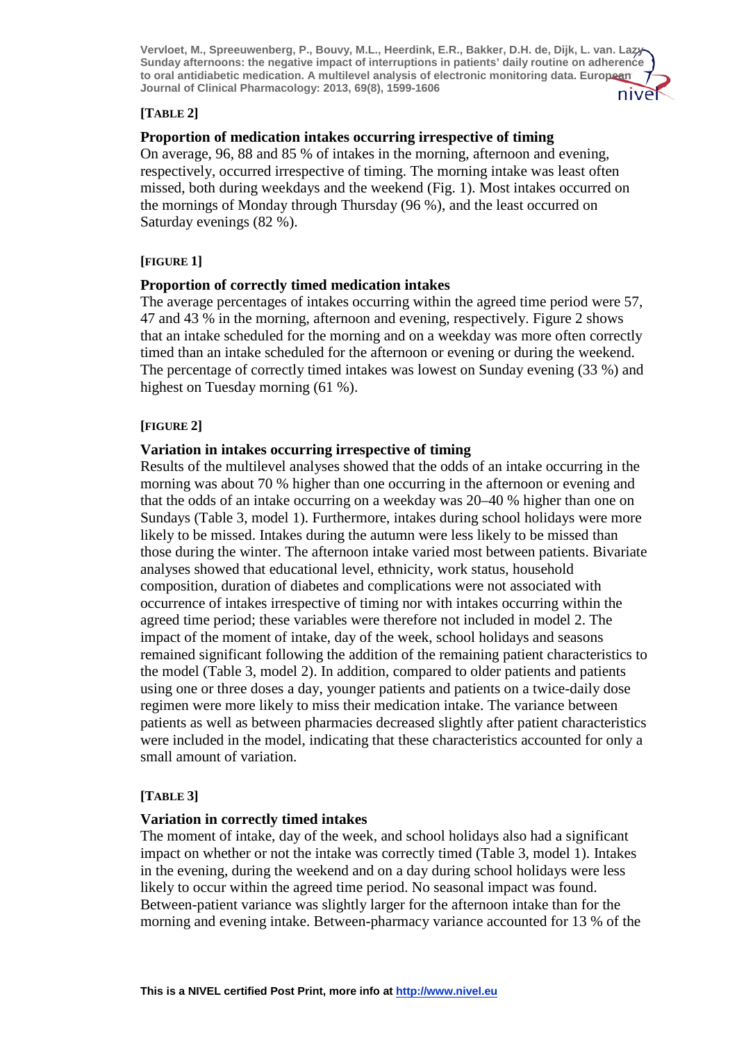## **[TABLE 2]**

## **Proportion of medication intakes occurring irrespective of timing**

On average, 96, 88 and 85 % of intakes in the morning, afternoon and evening, respectively, occurred irrespective of timing. The morning intake was least often missed, both during weekdays and the weekend (Fig. 1). Most intakes occurred on the mornings of Monday through Thursday (96 %), and the least occurred on Saturday evenings (82 %).

## **[FIGURE 1]**

## **Proportion of correctly timed medication intakes**

The average percentages of intakes occurring within the agreed time period were 57, 47 and 43 % in the morning, afternoon and evening, respectively. Figure 2 shows that an intake scheduled for the morning and on a weekday was more often correctly timed than an intake scheduled for the afternoon or evening or during the weekend. The percentage of correctly timed intakes was lowest on Sunday evening (33 %) and highest on Tuesday morning (61 %).

## **[FIGURE 2]**

## **Variation in intakes occurring irrespective of timing**

Results of the multilevel analyses showed that the odds of an intake occurring in the morning was about 70 % higher than one occurring in the afternoon or evening and that the odds of an intake occurring on a weekday was 20–40 % higher than one on Sundays (Table 3, model 1). Furthermore, intakes during school holidays were more likely to be missed. Intakes during the autumn were less likely to be missed than those during the winter. The afternoon intake varied most between patients. Bivariate analyses showed that educational level, ethnicity, work status, household composition, duration of diabetes and complications were not associated with occurrence of intakes irrespective of timing nor with intakes occurring within the agreed time period; these variables were therefore not included in model 2. The impact of the moment of intake, day of the week, school holidays and seasons remained significant following the addition of the remaining patient characteristics to the model (Table 3, model 2). In addition, compared to older patients and patients using one or three doses a day, younger patients and patients on a twice-daily dose regimen were more likely to miss their medication intake. The variance between patients as well as between pharmacies decreased slightly after patient characteristics were included in the model, indicating that these characteristics accounted for only a small amount of variation.

### **[TABLE 3]**

## **Variation in correctly timed intakes**

The moment of intake, day of the week, and school holidays also had a significant impact on whether or not the intake was correctly timed (Table 3, model 1). Intakes in the evening, during the weekend and on a day during school holidays were less likely to occur within the agreed time period. No seasonal impact was found. Between-patient variance was slightly larger for the afternoon intake than for the morning and evening intake. Between-pharmacy variance accounted for 13 % of the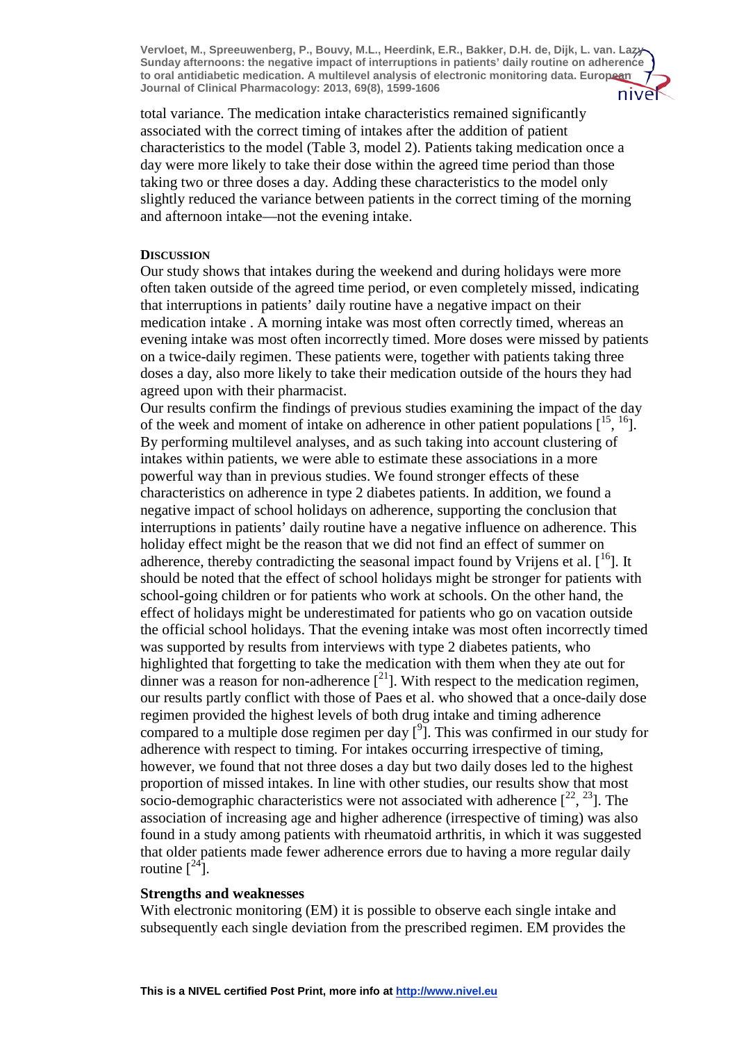total variance. The medication intake characteristics remained significantly associated with the correct timing of intakes after the addition of patient characteristics to the model (Table 3, model 2). Patients taking medication once a day were more likely to take their dose within the agreed time period than those taking two or three doses a day. Adding these characteristics to the model only slightly reduced the variance between patients in the correct timing of the morning and afternoon intake—not the evening intake.

#### **DISCUSSION**

Our study shows that intakes during the weekend and during holidays were more often taken outside of the agreed time period, or even completely missed, indicating that interruptions in patients' daily routine have a negative impact on their medication intake . A morning intake was most often correctly timed, whereas an evening intake was most often incorrectly timed. More doses were missed by patients on a twice-daily regimen. These patients were, together with patients taking three doses a day, also more likely to take their medication outside of the hours they had agreed upon with their pharmacist.

Our results confirm the findings of previous studies examining the impact of the day of the week and moment of intake on adherence in other patient populations  $\begin{bmatrix} 15 & 16 \end{bmatrix}$ . By performing multilevel analyses, and as such taking into account clustering of intakes within patients, we were able to estimate these associations in a more powerful way than in previous studies. We found stronger effects of these characteristics on adherence in type 2 diabetes patients. In addition, we found a negative impact of school holidays on adherence, supporting the conclusion that interruptions in patients' daily routine have a negative influence on adherence. This holiday effect might be the reason that we did not find an effect of summer on adherence, thereby contradicting the seasonal impact found by Vrijens et al.  $\int_0^{16}$ . It should be noted that the effect of school holidays might be stronger for patients with school-going children or for patients who work at schools. On the other hand, the effect of holidays might be underestimated for patients who go on vacation outside the official school holidays. That the evening intake was most often incorrectly timed was supported by results from interviews with type 2 diabetes patients, who highlighted that forgetting to take the medication with them when they ate out for dinner was a reason for non-adherence  $[2<sup>1</sup>]$ . With respect to the medication regimen, our results partly conflict with those of Paes et al. who showed that a once-daily dose regimen provided the highest levels of both drug intake and timing adherence compared to a multiple dose regimen per day  $[9]$ . This was confirmed in our study for adherence with respect to timing. For intakes occurring irrespective of timing, however, we found that not three doses a day but two daily doses led to the highest proportion of missed intakes. In line with other studies, our results show that most socio-demographic characteristics were not associated with adherence  $\int^{22}$ ,  $^{23}$ ]. The association of increasing age and higher adherence (irrespective of timing) was also found in a study among patients with rheumatoid arthritis, in which it was suggested that older patients made fewer adherence errors due to having a more regular daily routine  $[$ <sup>24</sup> $].$ 

#### **Strengths and weaknesses**

With electronic monitoring (EM) it is possible to observe each single intake and subsequently each single deviation from the prescribed regimen. EM provides the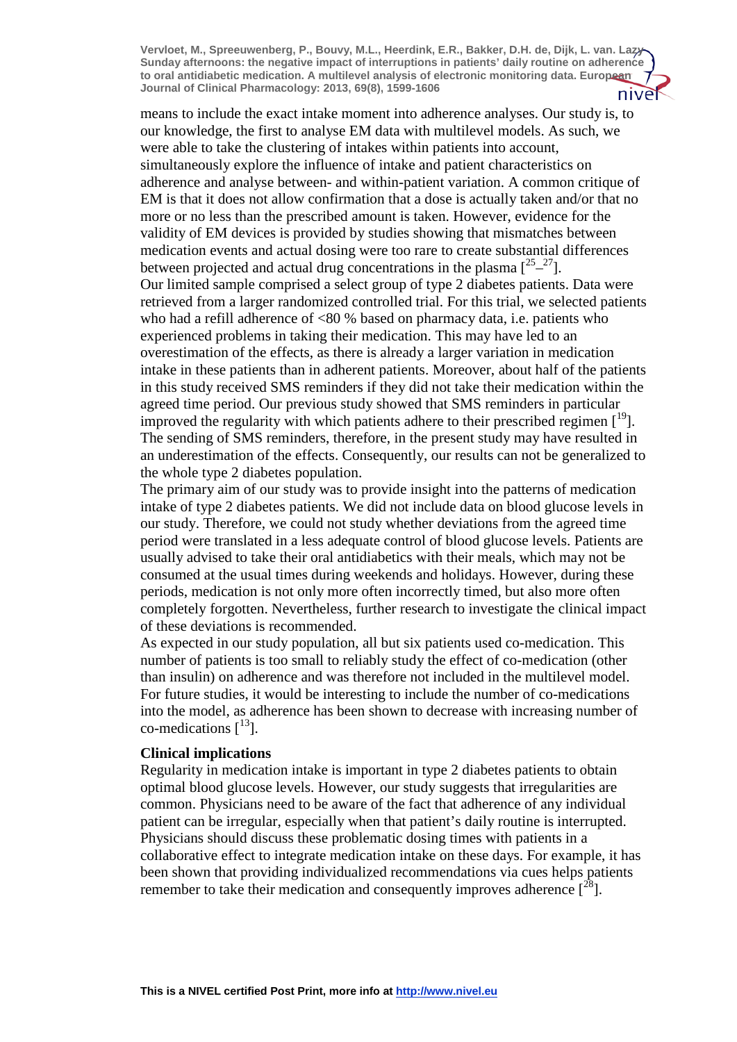means to include the exact intake moment into adherence analyses. Our study is, to our knowledge, the first to analyse EM data with multilevel models. As such, we were able to take the clustering of intakes within patients into account, simultaneously explore the influence of intake and patient characteristics on adherence and analyse between- and within-patient variation. A common critique of EM is that it does not allow confirmation that a dose is actually taken and/or that no more or no less than the prescribed amount is taken. However, evidence for the validity of EM devices is provided by studies showing that mismatches between medication events and actual dosing were too rare to create substantial differences between projected and actual drug concentrations in the plasma  $\lceil 25-27 \rceil$ . Our limited sample comprised a select group of type 2 diabetes patients. Data were retrieved from a larger randomized controlled trial. For this trial, we selected patients who had a refill adherence of <80 % based on pharmacy data, i.e. patients who experienced problems in taking their medication. This may have led to an overestimation of the effects, as there is already a larger variation in medication intake in these patients than in adherent patients. Moreover, about half of the patients in this study received SMS reminders if they did not take their medication within the agreed time period. Our previous study showed that SMS reminders in particular improved the regularity with which patients adhere to their prescribed regimen  $[19]$ . The sending of SMS reminders, therefore, in the present study may have resulted in an underestimation of the effects. Consequently, our results can not be generalized to the whole type 2 diabetes population.

The primary aim of our study was to provide insight into the patterns of medication intake of type 2 diabetes patients. We did not include data on blood glucose levels in our study. Therefore, we could not study whether deviations from the agreed time period were translated in a less adequate control of blood glucose levels. Patients are usually advised to take their oral antidiabetics with their meals, which may not be consumed at the usual times during weekends and holidays. However, during these periods, medication is not only more often incorrectly timed, but also more often completely forgotten. Nevertheless, further research to investigate the clinical impact of these deviations is recommended.

As expected in our study population, all but six patients used co-medication. This number of patients is too small to reliably study the effect of co-medication (other than insulin) on adherence and was therefore not included in the multilevel model. For future studies, it would be interesting to include the number of co-medications into the model, as adherence has been shown to decrease with increasing number of co-medications  $[13]$ .

### **Clinical implications**

Regularity in medication intake is important in type 2 diabetes patients to obtain optimal blood glucose levels. However, our study suggests that irregularities are common. Physicians need to be aware of the fact that adherence of any individual patient can be irregular, especially when that patient's daily routine is interrupted. Physicians should discuss these problematic dosing times with patients in a collaborative effect to integrate medication intake on these days. For example, it has been shown that providing individualized recommendations via cues helps patients remember to take their medication and consequently improves adherence  $\binom{28}{3}$ .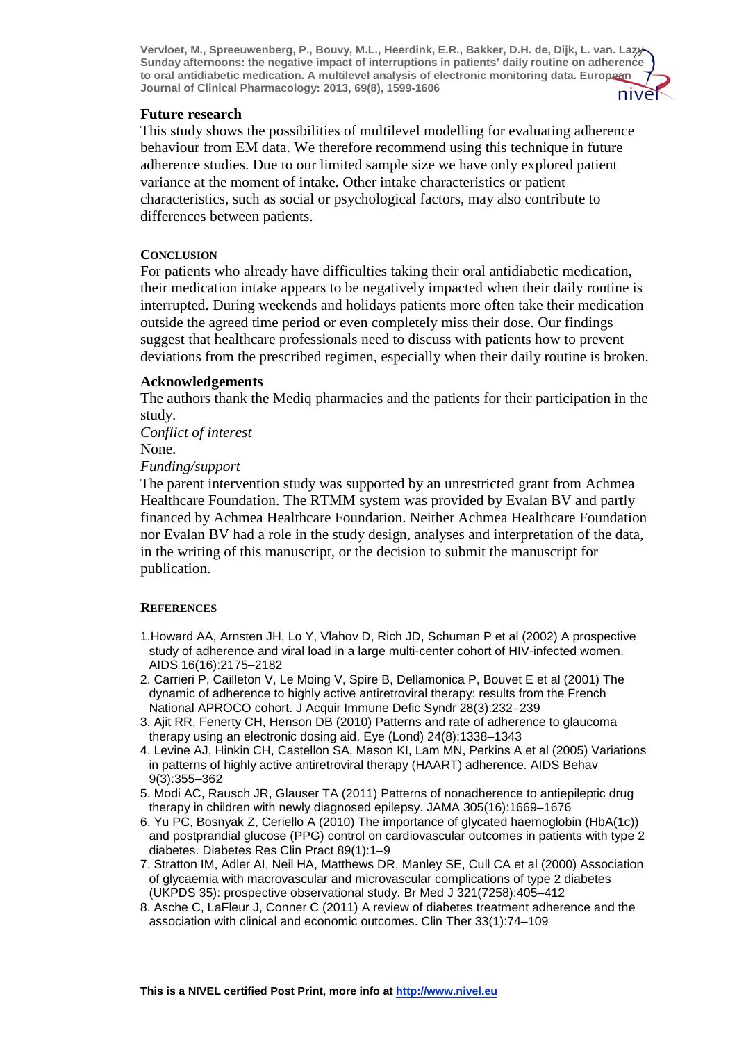## **Future research**

This study shows the possibilities of multilevel modelling for evaluating adherence behaviour from EM data. We therefore recommend using this technique in future adherence studies. Due to our limited sample size we have only explored patient variance at the moment of intake. Other intake characteristics or patient characteristics, such as social or psychological factors, may also contribute to differences between patients.

## **CONCLUSION**

For patients who already have difficulties taking their oral antidiabetic medication, their medication intake appears to be negatively impacted when their daily routine is interrupted. During weekends and holidays patients more often take their medication outside the agreed time period or even completely miss their dose. Our findings suggest that healthcare professionals need to discuss with patients how to prevent deviations from the prescribed regimen, especially when their daily routine is broken.

## **Acknowledgements**

The authors thank the Mediq pharmacies and the patients for their participation in the study.

*Conflict of interest*

None.

*Funding/support*

The parent intervention study was supported by an unrestricted grant from Achmea Healthcare Foundation. The RTMM system was provided by Evalan BV and partly financed by Achmea Healthcare Foundation. Neither Achmea Healthcare Foundation nor Evalan BV had a role in the study design, analyses and interpretation of the data, in the writing of this manuscript, or the decision to submit the manuscript for publication.

### **REFERENCES**

- 1.Howard AA, Arnsten JH, Lo Y, Vlahov D, Rich JD, Schuman P et al (2002) A prospective study of adherence and viral load in a large multi-center cohort of HIV-infected women. AIDS 16(16):2175–2182
- 2. Carrieri P, Cailleton V, Le Moing V, Spire B, Dellamonica P, Bouvet E et al (2001) The dynamic of adherence to highly active antiretroviral therapy: results from the French National APROCO cohort. J Acquir Immune Defic Syndr 28(3):232–239
- 3. Ajit RR, Fenerty CH, Henson DB (2010) Patterns and rate of adherence to glaucoma therapy using an electronic dosing aid. Eye (Lond) 24(8):1338–1343
- 4. Levine AJ, Hinkin CH, Castellon SA, Mason KI, Lam MN, Perkins A et al (2005) Variations in patterns of highly active antiretroviral therapy (HAART) adherence. AIDS Behav 9(3):355–362
- 5. Modi AC, Rausch JR, Glauser TA (2011) Patterns of nonadherence to antiepileptic drug therapy in children with newly diagnosed epilepsy. JAMA 305(16):1669–1676
- 6. Yu PC, Bosnyak Z, Ceriello A (2010) The importance of glycated haemoglobin (HbA(1c)) and postprandial glucose (PPG) control on cardiovascular outcomes in patients with type 2 diabetes. Diabetes Res Clin Pract 89(1):1–9
- 7. Stratton IM, Adler AI, Neil HA, Matthews DR, Manley SE, Cull CA et al (2000) Association of glycaemia with macrovascular and microvascular complications of type 2 diabetes (UKPDS 35): prospective observational study. Br Med J 321(7258):405–412
- 8. Asche C, LaFleur J, Conner C (2011) A review of diabetes treatment adherence and the association with clinical and economic outcomes. Clin Ther 33(1):74–109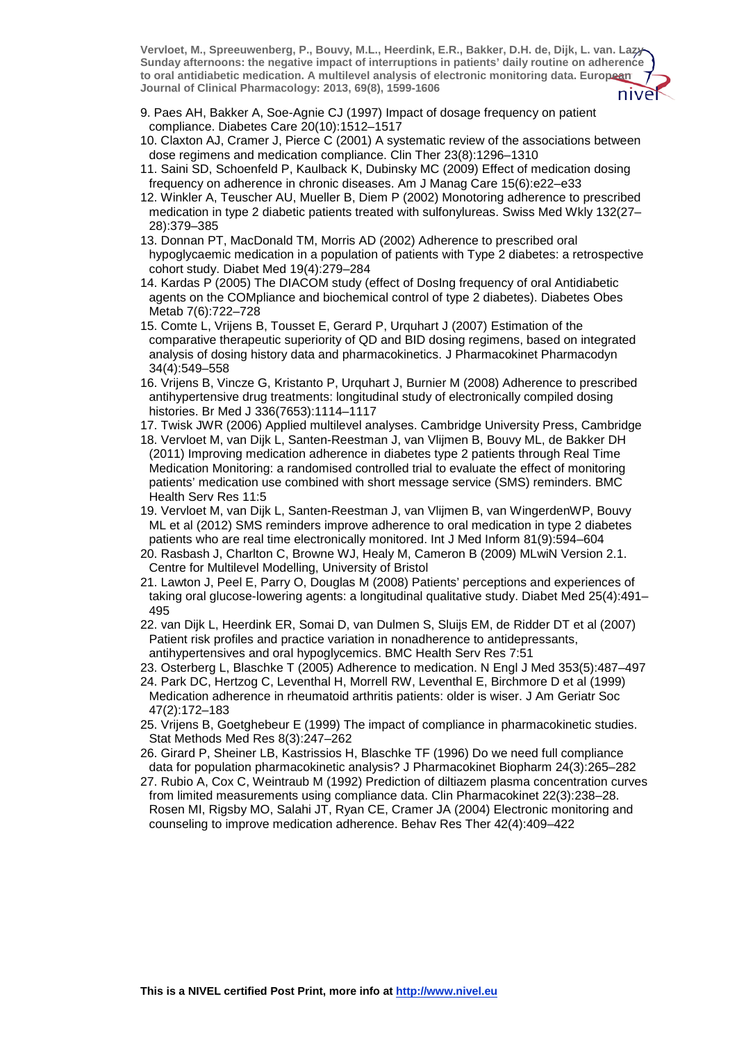- 9. Paes AH, Bakker A, Soe-Agnie CJ (1997) Impact of dosage frequency on patient compliance. Diabetes Care 20(10):1512–1517
- 10. Claxton AJ, Cramer J, Pierce C (2001) A systematic review of the associations between dose regimens and medication compliance. Clin Ther 23(8):1296–1310
- 11. Saini SD, Schoenfeld P, Kaulback K, Dubinsky MC (2009) Effect of medication dosing frequency on adherence in chronic diseases. Am J Manag Care 15(6):e22–e33
- 12. Winkler A, Teuscher AU, Mueller B, Diem P (2002) Monotoring adherence to prescribed medication in type 2 diabetic patients treated with sulfonylureas. Swiss Med Wkly 132(27– 28):379–385
- 13. Donnan PT, MacDonald TM, Morris AD (2002) Adherence to prescribed oral hypoglycaemic medication in a population of patients with Type 2 diabetes: a retrospective cohort study. Diabet Med 19(4):279–284
- 14. Kardas P (2005) The DIACOM study (effect of DosIng frequency of oral Antidiabetic agents on the COMpliance and biochemical control of type 2 diabetes). Diabetes Obes Metab 7(6):722–728
- 15. Comte L, Vrijens B, Tousset E, Gerard P, Urquhart J (2007) Estimation of the comparative therapeutic superiority of QD and BID dosing regimens, based on integrated analysis of dosing history data and pharmacokinetics. J Pharmacokinet Pharmacodyn 34(4):549–558
- 16. Vrijens B, Vincze G, Kristanto P, Urquhart J, Burnier M (2008) Adherence to prescribed antihypertensive drug treatments: longitudinal study of electronically compiled dosing histories. Br Med J 336(7653):1114–1117
- 17. Twisk JWR (2006) Applied multilevel analyses. Cambridge University Press, Cambridge
- 18. Vervloet M, van Dijk L, Santen-Reestman J, van Vlijmen B, Bouvy ML, de Bakker DH (2011) Improving medication adherence in diabetes type 2 patients through Real Time Medication Monitoring: a randomised controlled trial to evaluate the effect of monitoring patients' medication use combined with short message service (SMS) reminders. BMC Health Serv Res 11:5
- 19. Vervloet M, van Dijk L, Santen-Reestman J, van Vlijmen B, van WingerdenWP, Bouvy ML et al (2012) SMS reminders improve adherence to oral medication in type 2 diabetes patients who are real time electronically monitored. Int J Med Inform 81(9):594–604
- 20. Rasbash J, Charlton C, Browne WJ, Healy M, Cameron B (2009) MLwiN Version 2.1. Centre for Multilevel Modelling, University of Bristol
- 21. Lawton J, Peel E, Parry O, Douglas M (2008) Patients' perceptions and experiences of taking oral glucose-lowering agents: a longitudinal qualitative study. Diabet Med 25(4):491– 495
- 22. van Dijk L, Heerdink ER, Somai D, van Dulmen S, Sluijs EM, de Ridder DT et al (2007) Patient risk profiles and practice variation in nonadherence to antidepressants, antihypertensives and oral hypoglycemics. BMC Health Serv Res 7:51
- 23. Osterberg L, Blaschke T (2005) Adherence to medication. N Engl J Med 353(5):487–497
- 24. Park DC, Hertzog C, Leventhal H, Morrell RW, Leventhal E, Birchmore D et al (1999) Medication adherence in rheumatoid arthritis patients: older is wiser. J Am Geriatr Soc 47(2):172–183
- 25. Vrijens B, Goetghebeur E (1999) The impact of compliance in pharmacokinetic studies. Stat Methods Med Res 8(3):247–262
- 26. Girard P, Sheiner LB, Kastrissios H, Blaschke TF (1996) Do we need full compliance data for population pharmacokinetic analysis? J Pharmacokinet Biopharm 24(3):265–282
- 27. Rubio A, Cox C, Weintraub M (1992) Prediction of diltiazem plasma concentration curves from limited measurements using compliance data. Clin Pharmacokinet 22(3):238–28. Rosen MI, Rigsby MO, Salahi JT, Ryan CE, Cramer JA (2004) Electronic monitoring and counseling to improve medication adherence. Behav Res Ther 42(4):409–422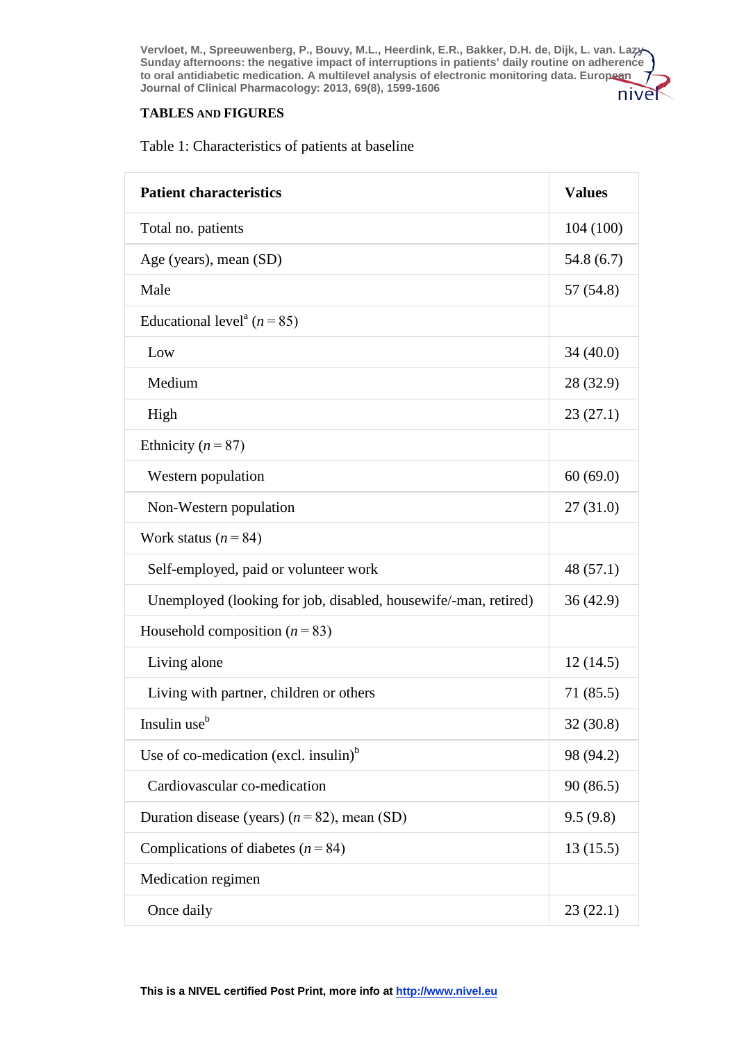## **TABLES AND FIGURES**

Table 1: Characteristics of patients at baseline

| <b>Patient characteristics</b>                                  | <b>Values</b> |
|-----------------------------------------------------------------|---------------|
| Total no. patients                                              | 104(100)      |
| Age (years), mean (SD)                                          | 54.8 (6.7)    |
| Male                                                            | 57 (54.8)     |
| Educational level <sup>a</sup> ( $n = 85$ )                     |               |
| Low                                                             | 34 (40.0)     |
| Medium                                                          | 28 (32.9)     |
| High                                                            | 23(27.1)      |
| Ethnicity ( $n = 87$ )                                          |               |
| Western population                                              | 60(69.0)      |
| Non-Western population                                          | 27(31.0)      |
| Work status ( $n = 84$ )                                        |               |
| Self-employed, paid or volunteer work                           | 48(57.1)      |
| Unemployed (looking for job, disabled, housewife/-man, retired) | 36 (42.9)     |
| Household composition ( $n = 83$ )                              |               |
| Living alone                                                    | 12(14.5)      |
| Living with partner, children or others                         | 71 (85.5)     |
| Insulin use <sup>b</sup>                                        | 32(30.8)      |
| Use of co-medication (excl. insulin) $b$                        | 98 (94.2)     |
| Cardiovascular co-medication                                    | 90(86.5)      |
| Duration disease (years) $(n = 82)$ , mean (SD)                 | 9.5(9.8)      |
| Complications of diabetes ( $n = 84$ )                          | 13(15.5)      |
| Medication regimen                                              |               |
| Once daily                                                      | 23(22.1)      |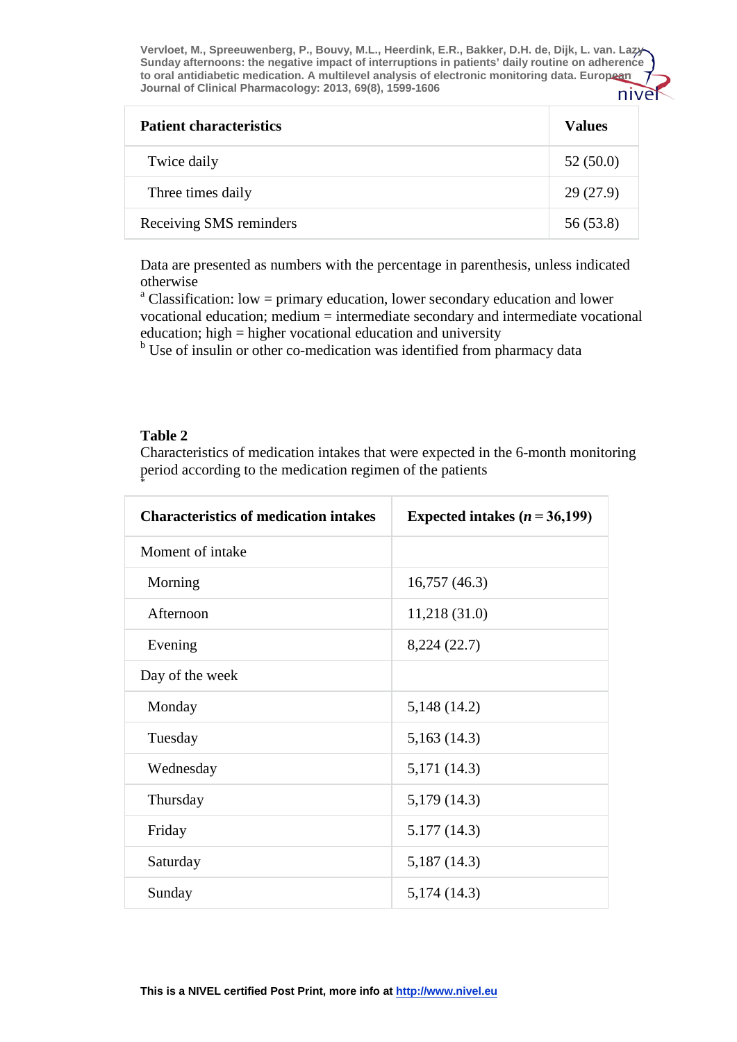| <b>Patient characteristics</b> | <b>Values</b> |
|--------------------------------|---------------|
| Twice daily                    | 52(50.0)      |
| Three times daily              | 29(27.9)      |
| Receiving SMS reminders        | 56 (53.8)     |

Data are presented as numbers with the percentage in parenthesis, unless indicated otherwise

<sup>a</sup> Classification: low = primary education, lower secondary education and lower vocational education; medium = intermediate secondary and intermediate vocational education; high = higher vocational education and university

<sup>b</sup> Use of insulin or other co-medication was identified from pharmacy data

## **Table 2**

Characteristics of medication intakes that were expected in the 6-month monitoring period according to the medication regimen of the patients \*

| <b>Characteristics of medication intakes</b> | Expected intakes $(n = 36,199)$ |
|----------------------------------------------|---------------------------------|
| Moment of intake                             |                                 |
| Morning                                      | 16,757(46.3)                    |
| Afternoon                                    | 11,218(31.0)                    |
| Evening                                      | 8,224 (22.7)                    |
| Day of the week                              |                                 |
| Monday                                       | 5,148 (14.2)                    |
| Tuesday                                      | 5,163(14.3)                     |
| Wednesday                                    | 5,171 (14.3)                    |
| Thursday                                     | 5,179 (14.3)                    |
| Friday                                       | 5.177(14.3)                     |
| Saturday                                     | 5,187(14.3)                     |
| Sunday                                       | 5,174(14.3)                     |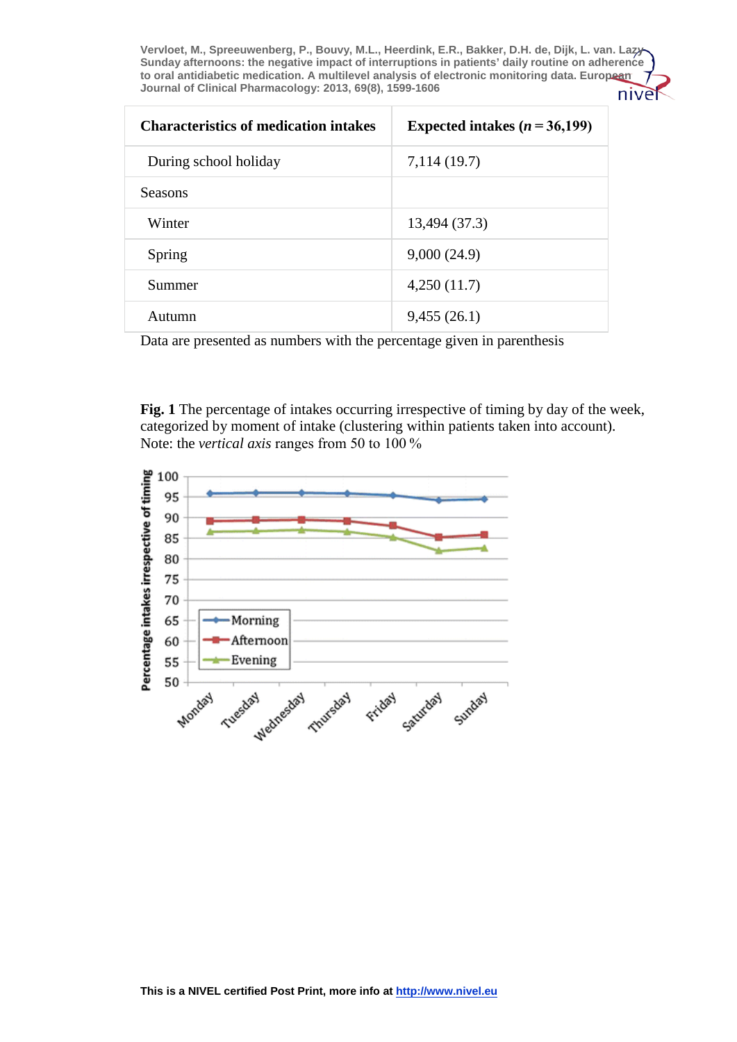| <b>Characteristics of medication intakes</b> | Expected intakes $(n = 36,199)$ |
|----------------------------------------------|---------------------------------|
| During school holiday                        | 7,114(19.7)                     |
| <b>Seasons</b>                               |                                 |
| Winter                                       | 13,494 (37.3)                   |
| Spring                                       | 9,000(24.9)                     |
| Summer                                       | 4,250(11.7)                     |
| Autumn                                       | 9,455(26.1)                     |

Data are presented as numbers with the percentage given in parenthesis

**Fig. 1** The percentage of intakes occurring irrespective of timing by day of the week, categorized by moment of intake (clustering within patients taken into account). Note: the *vertical axis* ranges from 50 to 100 %

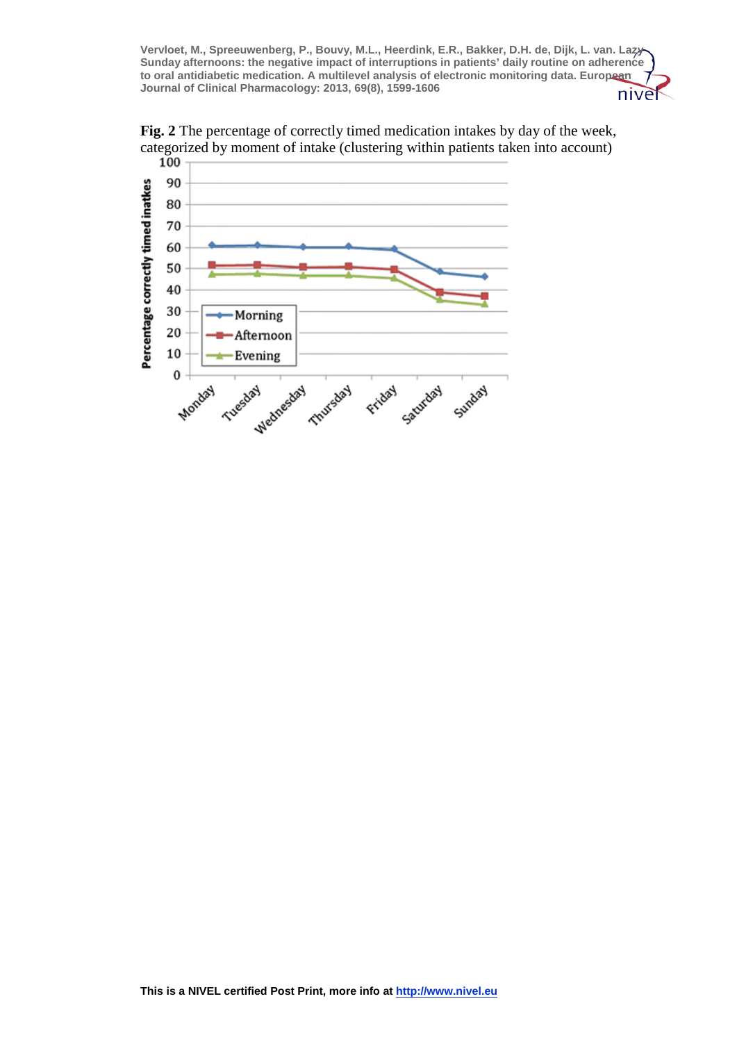**Fig. 2** The percentage of correctly timed medication intakes by day of the week, categorized by moment of intake (clustering within patients taken into account) 100

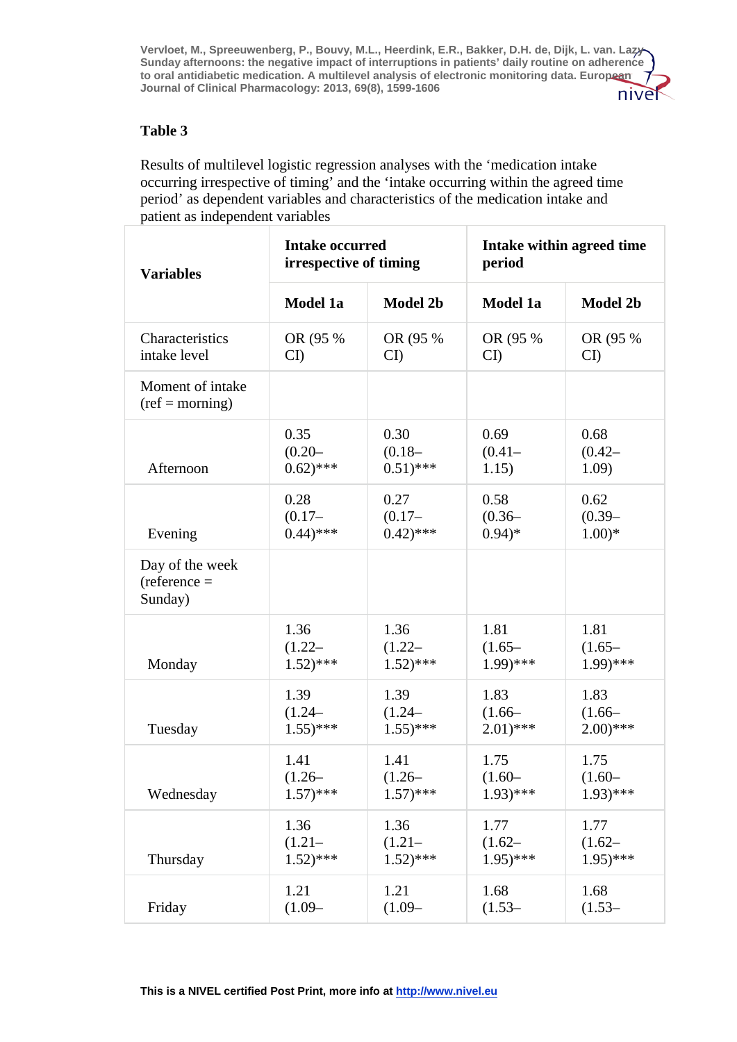## **Table 3**

Results of multilevel logistic regression analyses with the 'medication intake occurring irrespective of timing' and the 'intake occurring within the agreed time period' as dependent variables and characteristics of the medication intake and patient as independent variables

| <b>Variables</b>                             | <b>Intake occurred</b><br>irrespective of timing |                       | Intake within agreed time<br>period |                        |
|----------------------------------------------|--------------------------------------------------|-----------------------|-------------------------------------|------------------------|
|                                              | Model 1a                                         | <b>Model 2b</b>       | Model 1a                            | <b>Model 2b</b>        |
| Characteristics                              | OR (95 %                                         | OR (95 %              | OR (95 %                            | OR (95 %)              |
| intake level                                 | $\overline{\text{CD}}$                           | $\mathbf{C}$          | $\overline{\text{CI}}$              | $\overline{\text{CD}}$ |
| Moment of intake<br>$ref = morning)$         |                                                  |                       |                                     |                        |
| Afternoon                                    | 0.35                                             | 0.30                  | 0.69                                | 0.68                   |
|                                              | $(0.20 -$                                        | $(0.18 -$             | $(0.41 -$                           | $(0.42 -$              |
|                                              | $0.62$ <sup>***</sup>                            | $(0.51)$ ***          | 1.15)                               | 1.09)                  |
| Evening                                      | 0.28                                             | 0.27                  | 0.58                                | 0.62                   |
|                                              | $(0.17 -$                                        | $(0.17 -$             | $(0.36 -$                           | $(0.39 -$              |
|                                              | $0.44$ <sup>***</sup>                            | $(0.42)$ ***          | $0.94)*$                            | $1.00)*$               |
| Day of the week<br>$(reference =$<br>Sunday) |                                                  |                       |                                     |                        |
| Monday                                       | 1.36                                             | 1.36                  | 1.81                                | 1.81                   |
|                                              | $(1.22 -$                                        | $(1.22 -$             | $(1.65 -$                           | $(1.65 -$              |
|                                              | $1.52$ <sup>***</sup>                            | $1.52$ <sup>***</sup> | $1.99$ <sup>***</sup>               | $1.99$ <sup>***</sup>  |
| Tuesday                                      | 1.39                                             | 1.39                  | 1.83                                | 1.83                   |
|                                              | $(1.24 -$                                        | $(1.24 -$             | $(1.66 -$                           | $(1.66 -$              |
|                                              | $1.55$ <sup>***</sup>                            | $1.55$ <sup>***</sup> | $2.01$ <sup>***</sup>               | $2.00$ <sup>***</sup>  |
| Wednesday                                    | 1.41                                             | 1.41                  | 1.75                                | 1.75                   |
|                                              | $(1.26 -$                                        | $(1.26 -$             | $(1.60 -$                           | $(1.60 -$              |
|                                              | $1.57$ <sup>***</sup>                            | $1.57$ <sup>***</sup> | $1.93$ <sup>***</sup>               | $1.93$ <sup>***</sup>  |
| Thursday                                     | 1.36                                             | 1.36                  | 1.77                                | 1.77                   |
|                                              | $(1.21 -$                                        | $(1.21 -$             | $(1.62 -$                           | $(1.62 -$              |
|                                              | $1.52$ <sup>***</sup>                            | $1.52$ <sup>***</sup> | $1.95$ <sup>***</sup>               | $1.95$ <sup>***</sup>  |
| Friday                                       | 1.21                                             | 1.21                  | 1.68                                | 1.68                   |
|                                              | $(1.09 -$                                        | $(1.09 -$             | $(1.53-$                            | $(1.53 -$              |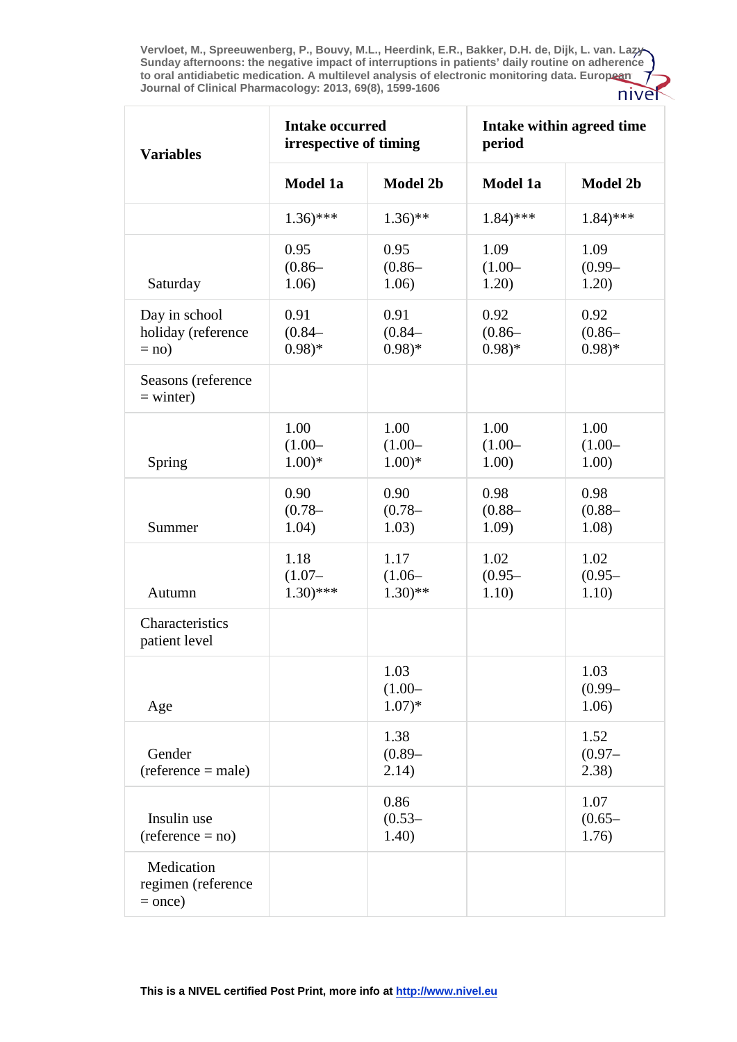| <b>Variables</b>                               | <b>Intake occurred</b><br>irrespective of timing |                                           | Intake within agreed time<br>period |                               |
|------------------------------------------------|--------------------------------------------------|-------------------------------------------|-------------------------------------|-------------------------------|
|                                                | Model 1a                                         | <b>Model 2b</b>                           | Model 1a                            | <b>Model 2b</b>               |
|                                                | $1.36$ <sup>***</sup>                            | $1.36$ <sup>**</sup>                      | $1.84$ <sup>***</sup>               | $1.84$ <sup>***</sup>         |
| Saturday                                       | 0.95<br>$(0.86 -$<br>1.06)                       | 0.95<br>$(0.86 -$<br>1.06)                | 1.09<br>$(1.00 -$<br>1.20)          | 1.09<br>$(0.99 -$<br>1.20)    |
| Day in school<br>holiday (reference<br>$=$ no) | 0.91<br>$(0.84 -$<br>$0.98)*$                    | 0.91<br>$(0.84 -$<br>$0.98)*$             | 0.92<br>$(0.86 -$<br>$0.98)*$       | 0.92<br>$(0.86 -$<br>$0.98)*$ |
| Seasons (reference<br>$=$ winter)              |                                                  |                                           |                                     |                               |
| Spring                                         | 1.00<br>$(1.00 -$<br>$1.00)*$                    | 1.00<br>$(1.00 -$<br>$1.00)*$             | 1.00<br>$(1.00 -$<br>1.00)          | 1.00<br>$(1.00 -$<br>1.00)    |
| Summer                                         | 0.90<br>$(0.78 -$<br>1.04)                       | 0.90<br>$(0.78 -$<br>1.03)                | 0.98<br>$(0.88 -$<br>1.09)          | 0.98<br>$(0.88 -$<br>1.08)    |
| Autumn                                         | 1.18<br>$(1.07 -$<br>$1.30$ <sup>***</sup>       | 1.17<br>$(1.06 -$<br>$1.30$ <sup>**</sup> | 1.02<br>$(0.95 -$<br>1.10)          | 1.02<br>$(0.95 -$<br>1.10)    |
| Characteristics<br>patient level               |                                                  |                                           |                                     |                               |
| Age                                            |                                                  | 1.03<br>$(1.00 -$<br>$1.07)*$             |                                     | 1.03<br>$(0.99 -$<br>1.06)    |
| Gender<br>$(reference = male)$                 |                                                  | 1.38<br>$(0.89 -$<br>2.14)                |                                     | 1.52<br>$(0.97 -$<br>(2.38)   |
| Insulin use<br>$(reference = no)$              |                                                  | 0.86<br>$(0.53 -$<br>1.40)                |                                     | 1.07<br>$(0.65 -$<br>1.76)    |
| Medication<br>regimen (reference<br>$=$ once)  |                                                  |                                           |                                     |                               |